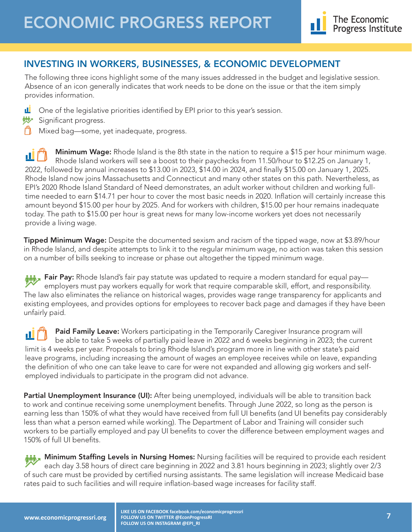## INVESTING IN WORKERS, BUSINESSES, & ECONOMIC DEVELOPMENT

The following three icons highlight some of the many issues addressed in the budget and legislative session. Absence of an icon generally indicates that work needs to be done on the issue or that the item simply provides information.

- Ш One of the legislative priorities identified by EPI prior to this year's session.
- **W** Significant progress.
- Mixed bag—some, yet inadequate, progress.

Minimum Wage: Rhode Island is the 8th state in the nation to require a \$15 per hour minimum wage. пI Rhode Island workers will see a boost to their paychecks from 11.50/hour to \$12.25 on January 1, 2022, followed by annual increases to \$13.00 in 2023, \$14.00 in 2024, and finally \$15.00 on January 1, 2025. Rhode Island now joins Massachusetts and Connecticut and many other states on this path. Nevertheless, as EPI's 2020 Rhode Island Standard of Need demonstrates, an adult worker without children and working fulltime needed to earn \$14.71 per hour to cover the most basic needs in 2020. Inflation will certainly increase this amount beyond \$15.00 per hour by 2025. And for workers with children, \$15.00 per hour remains inadequate today. The path to \$15.00 per hour is great news for many low-income workers yet does not necessarily provide a living wage.

Tipped Minimum Wage: Despite the documented sexism and racism of the tipped wage, now at \$3.89/hour in Rhode Island, and despite attempts to link it to the regular minimum wage, no action was taken this session on a number of bills seeking to increase or phase out altogether the tipped minimum wage.

**Mix** Fair Pay: Rhode Island's fair pay statute was updated to require a modern standard for equal pay employers must pay workers equally for work that require comparable skill, effort, and responsibility. The law also eliminates the reliance on historical wages, provides wage range transparency for applicants and existing employees, and provides options for employees to recover back page and damages if they have been unfairly paid.

**Paid Family Leave:** Workers participating in the Temporarily Caregiver Insurance program will ш be able to take 5 weeks of partially paid leave in 2022 and 6 weeks beginning in 2023; the current limit is 4 weeks per year. Proposals to bring Rhode Island's program more in line with other state's paid leave programs, including increasing the amount of wages an employee receives while on leave, expanding the definition of who one can take leave to care for were not expanded and allowing gig workers and selfemployed individuals to participate in the program did not advance.

Partial Unemployment Insurance (UI): After being unemployed, individuals will be able to transition back to work and continue receiving some unemployment benefits. Through June 2022, so long as the person is earning less than 150% of what they would have received from full UI benefits (and UI benefits pay considerably less than what a person earned while working). The Department of Labor and Training will consider such workers to be partially employed and pay UI benefits to cover the difference between employment wages and 150% of full UI benefits.

**Minimum Staffing Levels in Nursing Homes:** Nursing facilities will be required to provide each resident each day 3.58 hours of direct care beginning in 2022 and 3.81 hours beginning in 2023; slightly over 2/3 of such care must be provided by certified nursing assistants. The same legislation will increase Medicaid base rates paid to such facilities and will require inflation-based wage increases for facility staff.